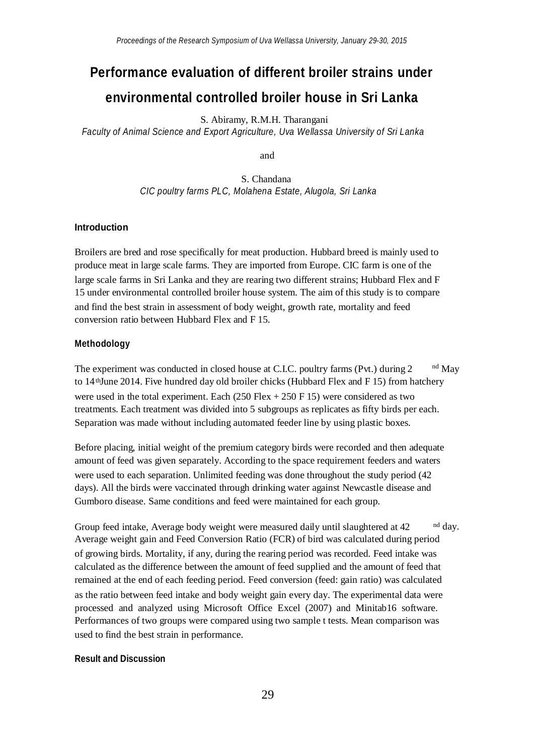# **Performance evaluation of different broiler strains under environmental controlled broiler house in Sri Lanka**

S. Abiramy, R.M.H. Tharangani

*Faculty of Animal Science and Export Agriculture, Uva Wellassa University of Sri Lanka*

and

S. Chandana *CIC poultry farms PLC, Molahena Estate, Alugola, Sri Lanka*

## **Introduction**

Broilers are bred and rose specifically for meat production. Hubbard breed is mainly used to produce meat in large scale farms. They are imported from Europe. CIC farm is one of the large scale farms in Sri Lanka and they are rearing two different strains; Hubbard Flex and F 15 under environmental controlled broiler house system. The aim of this study is to compare and find the best strain in assessment of body weight, growth rate, mortality and feed conversion ratio between Hubbard Flex and F 15.

### **Methodology**

The experiment was conducted in closed house at C.I.C. poultry farms (Pvt.) during 2 nd May to 14<sup>th</sup> June 2014. Five hundred day old broiler chicks (Hubbard Flex and F 15) from hatchery were used in the total experiment. Each  $(250 \text{ Flex} + 250 \text{ F } 15)$  were considered as two treatments. Each treatment was divided into 5 subgroups as replicates as fifty birds per each. Separation was made without including automated feeder line by using plastic boxes.

Before placing, initial weight of the premium category birds were recorded and then adequate amount of feed was given separately. According to the space requirement feeders and waters were used to each separation. Unlimited feeding was done throughout the study period (42 days). All the birds were vaccinated through drinking water against Newcastle disease and Gumboro disease. Same conditions and feed were maintained for each group.

Group feed intake, Average body weight were measured daily until slaughtered at 42 nd day. Average weight gain and Feed Conversion Ratio (FCR) of bird was calculated during period of growing birds. Mortality, if any, during the rearing period was recorded. Feed intake was calculated as the difference between the amount of feed supplied and the amount of feed that remained at the end of each feeding period. Feed conversion (feed: gain ratio) was calculated as the ratio between feed intake and body weight gain every day. The experimental data were processed and analyzed using Microsoft Office Excel (2007) and Minitab16 software. Performances of two groups were compared using two sample t tests. Mean comparison was used to find the best strain in performance.

#### **Result and Discussion**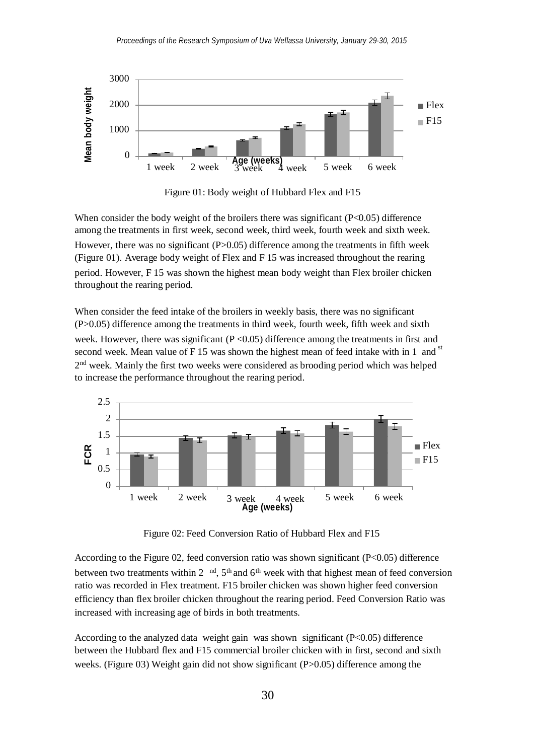

Figure 01: Body weight of Hubbard Flex and F15

When consider the body weight of the broilers there was significant  $(P<0.05)$  difference among the treatments in first week, second week, third week, fourth week and sixth week. However, there was no significant  $(P>0.05)$  difference among the treatments in fifth week (Figure 01). Average body weight of Flex and F 15 was increased throughout the rearing period. However, F 15 was shown the highest mean body weight than Flex broiler chicken throughout the rearing period.

2<sup>nd</sup> week. Mainly the first two weeks were considered as brooding period which was helped When consider the feed intake of the broilers in weekly basis, there was no significant (P>0.05) difference among the treatments in third week, fourth week, fifth week and sixth week. However, there was significant  $(P < 0.05)$  difference among the treatments in first and second week. Mean value of F 15 was shown the highest mean of feed intake with in 1 and  $\mathrm{s}$ to increase the performance throughout the rearing period.



Figure 02: Feed Conversion Ratio of Hubbard Flex and F15

between two treatments within 2  $^{\text{nd}}$ , 5<sup>th</sup> and 6<sup>th</sup> week with that highest mean of feed conversion According to the Figure 02, feed conversion ratio was shown significant (P<0.05) difference ratio was recorded in Flex treatment. F15 broiler chicken was shown higher feed conversion efficiency than flex broiler chicken throughout the rearing period. Feed Conversion Ratio was increased with increasing age of birds in both treatments.

According to the analyzed data weight gain was shown significant (P<0.05) difference between the Hubbard flex and F15 commercial broiler chicken with in first, second and sixth weeks. (Figure 03) Weight gain did not show significant (P>0.05) difference among the